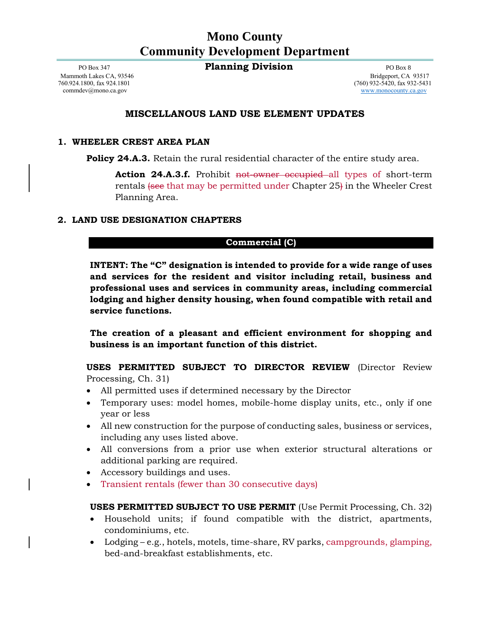## **Mono County Community Development Department**

PO Box 347 **Planning Division** PO Box 8

[commdev@mono.ca.gov](mailto:commdev@mono.ca.gov) [www.monocounty.ca.gov](http://www.monocounty.ca.gov/)

Mammoth Lakes CA, 93546 Bridgeport, CA 93517<br>
760.924.1800, fax 924.1801 (760) 932-5420, fax 932-5431  $(760)$  932-5420, fax 932-5431

## **MISCELLANOUS LAND USE ELEMENT UPDATES**

#### **1. WHEELER CREST AREA PLAN**

**Policy 24.A.3.** Retain the rural residential character of the entire study area.

Action 24.A.3.f. Prohibit not-owner occupied all types of short-term rentals (see that may be permitted under Chapter 25) in the Wheeler Crest Planning Area.

### **2. LAND USE DESIGNATION CHAPTERS**

### **Commercial (C)**

**INTENT: The "C" designation is intended to provide for a wide range of uses and services for the resident and visitor including retail, business and professional uses and services in community areas, including commercial lodging and higher density housing, when found compatible with retail and service functions.**

**The creation of a pleasant and efficient environment for shopping and business is an important function of this district.**

**USES PERMITTED SUBJECT TO DIRECTOR REVIEW** (Director Review Processing, Ch. 31)

- All permitted uses if determined necessary by the Director
- Temporary uses: model homes, mobile-home display units, etc., only if one year or less
- All new construction for the purpose of conducting sales, business or services, including any uses listed above.
- All conversions from a prior use when exterior structural alterations or additional parking are required.
- Accessory buildings and uses.
- Transient rentals (fewer than 30 consecutive days)

## **USES PERMITTED SUBJECT TO USE PERMIT** (Use Permit Processing, Ch. 32)

- Household units; if found compatible with the district, apartments, condominiums, etc.
- Lodging e.g., hotels, motels, time-share, RV parks, campgrounds, glamping, bed-and-breakfast establishments, etc.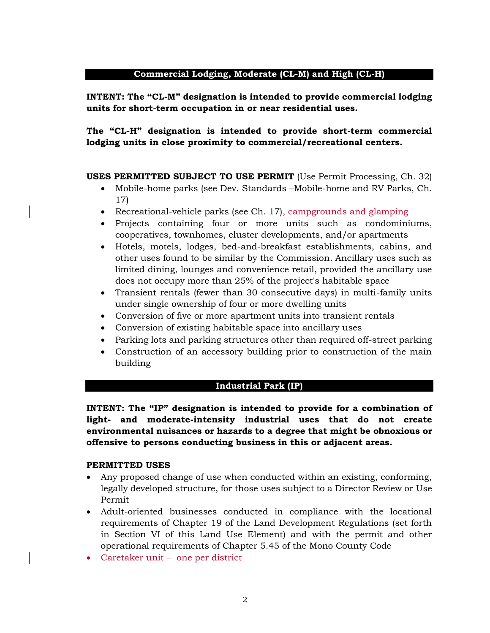## **Commercial Lodging, Moderate (CL-M) and High (CL-H)**

**INTENT: The "CL-M" designation is intended to provide commercial lodging units for short-term occupation in or near residential uses.**

**The "CL-H" designation is intended to provide short-term commercial lodging units in close proximity to commercial/recreational centers.**

**USES PERMITTED SUBJECT TO USE PERMIT** (Use Permit Processing, Ch. 32)

- Mobile-home parks (see Dev. Standards –Mobile-home and RV Parks, Ch. 17)
- Recreational-vehicle parks (see Ch. 17), campgrounds and glamping
- Projects containing four or more units such as condominiums, cooperatives, townhomes, cluster developments, and/or apartments
- Hotels, motels, lodges, bed-and-breakfast establishments, cabins, and other uses found to be similar by the Commission. Ancillary uses such as limited dining, lounges and convenience retail, provided the ancillary use does not occupy more than 25% of the project's habitable space
- Transient rentals (fewer than 30 consecutive days) in multi-family units under single ownership of four or more dwelling units
- Conversion of five or more apartment units into transient rentals
- Conversion of existing habitable space into ancillary uses
- Parking lots and parking structures other than required off-street parking
- Construction of an accessory building prior to construction of the main building

#### **Industrial Park (IP)**

**INTENT: The "IP" designation is intended to provide for a combination of light- and moderate-intensity industrial uses that do not create environmental nuisances or hazards to a degree that might be obnoxious or offensive to persons conducting business in this or adjacent areas.**

#### **PERMITTED USES**

- Any proposed change of use when conducted within an existing, conforming, legally developed structure, for those uses subject to a Director Review or Use Permit
- Adult-oriented businesses conducted in compliance with the locational requirements of Chapter 19 of the Land Development Regulations (set forth in Section VI of this Land Use Element) and with the permit and other operational requirements of Chapter 5.45 of the Mono County Code
- Caretaker unit one per district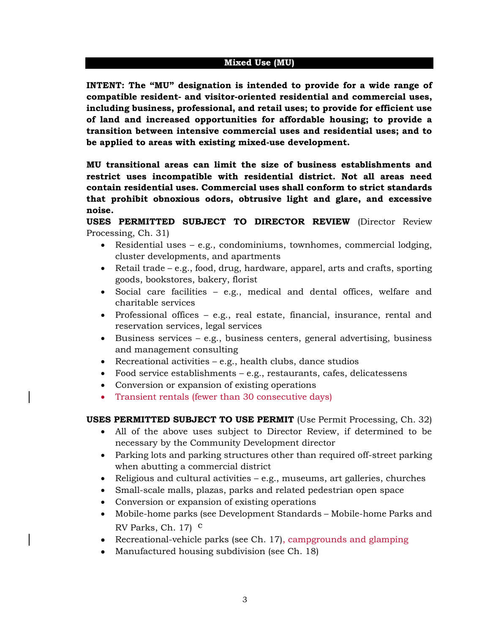#### **Mixed Use (MU)**

**INTENT: The "MU" designation is intended to provide for a wide range of compatible resident- and visitor-oriented residential and commercial uses, including business, professional, and retail uses; to provide for efficient use of land and increased opportunities for affordable housing; to provide a transition between intensive commercial uses and residential uses; and to be applied to areas with existing mixed-use development.**

**MU transitional areas can limit the size of business establishments and restrict uses incompatible with residential district. Not all areas need contain residential uses. Commercial uses shall conform to strict standards that prohibit obnoxious odors, obtrusive light and glare, and excessive noise.**

**USES PERMITTED SUBJECT TO DIRECTOR REVIEW** (Director Review Processing, Ch. 31)

- Residential uses e.g., condominiums, townhomes, commercial lodging, cluster developments, and apartments
- Retail trade e.g., food, drug, hardware, apparel, arts and crafts, sporting goods, bookstores, bakery, florist
- Social care facilities e.g., medical and dental offices, welfare and charitable services
- Professional offices e.g., real estate, financial, insurance, rental and reservation services, legal services
- Business services e.g., business centers, general advertising, business and management consulting
- Recreational activities  $-e.g.,$  health clubs, dance studios
- Food service establishments e.g., restaurants, cafes, delicatessens
- Conversion or expansion of existing operations
- Transient rentals (fewer than 30 consecutive days)

## **USES PERMITTED SUBJECT TO USE PERMIT** (Use Permit Processing, Ch. 32)

- All of the above uses subject to Director Review, if determined to be necessary by the Community Development director
- Parking lots and parking structures other than required off-street parking when abutting a commercial district
- Religious and cultural activities e.g., museums, art galleries, churches
- Small-scale malls, plazas, parks and related pedestrian open space
- Conversion or expansion of existing operations
- Mobile-home parks (see Development Standards Mobile-home Parks and RV Parks, Ch.  $17$ ) <sup>c</sup>
- Recreational-vehicle parks (see Ch. 17), campgrounds and glamping
- Manufactured housing subdivision (see Ch. 18)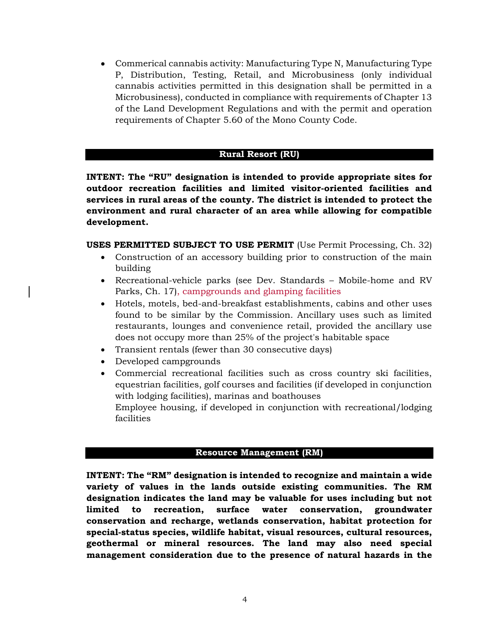• Commerical cannabis activity: Manufacturing Type N, Manufacturing Type P, Distribution, Testing, Retail, and Microbusiness (only individual cannabis activities permitted in this designation shall be permitted in a Microbusiness), conducted in compliance with requirements of Chapter 13 of the Land Development Regulations and with the permit and operation requirements of Chapter 5.60 of the Mono County Code.

## **Rural Resort (RU)**

**INTENT: The "RU" designation is intended to provide appropriate sites for outdoor recreation facilities and limited visitor-oriented facilities and services in rural areas of the county. The district is intended to protect the environment and rural character of an area while allowing for compatible development.**

**USES PERMITTED SUBJECT TO USE PERMIT** (Use Permit Processing, Ch. 32)

- Construction of an accessory building prior to construction of the main building
- Recreational-vehicle parks (see Dev. Standards Mobile-home and RV Parks, Ch. 17), campgrounds and glamping facilities
- Hotels, motels, bed-and-breakfast establishments, cabins and other uses found to be similar by the Commission. Ancillary uses such as limited restaurants, lounges and convenience retail, provided the ancillary use does not occupy more than 25% of the project's habitable space
- Transient rentals (fewer than 30 consecutive days)
- Developed campgrounds
- Commercial recreational facilities such as cross country ski facilities, equestrian facilities, golf courses and facilities (if developed in conjunction with lodging facilities), marinas and boathouses Employee housing, if developed in conjunction with recreational/lodging facilities

## **Resource Management (RM)**

**INTENT: The "RM" designation is intended to recognize and maintain a wide variety of values in the lands outside existing communities. The RM designation indicates the land may be valuable for uses including but not limited to recreation, surface water conservation, groundwater conservation and recharge, wetlands conservation, habitat protection for special-status species, wildlife habitat, visual resources, cultural resources, geothermal or mineral resources. The land may also need special management consideration due to the presence of natural hazards in the**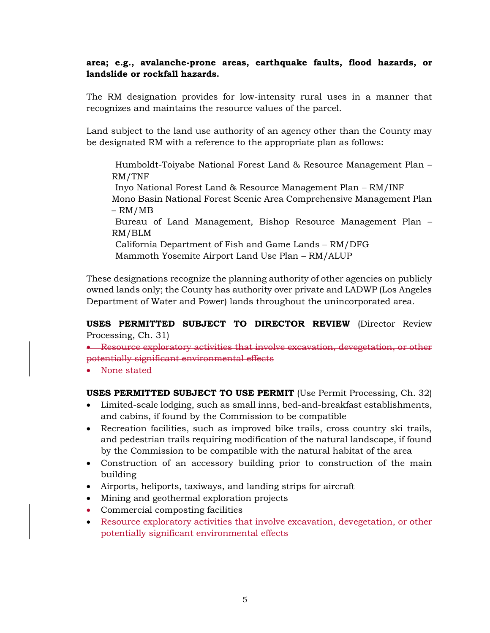## **area; e.g., avalanche-prone areas, earthquake faults, flood hazards, or landslide or rockfall hazards.**

The RM designation provides for low-intensity rural uses in a manner that recognizes and maintains the resource values of the parcel.

Land subject to the land use authority of an agency other than the County may be designated RM with a reference to the appropriate plan as follows:

Humboldt-Toiyabe National Forest Land & Resource Management Plan – RM/TNF

Inyo National Forest Land & Resource Management Plan – RM/INF Mono Basin National Forest Scenic Area Comprehensive Management Plan – RM/MB

Bureau of Land Management, Bishop Resource Management Plan – RM/BLM

California Department of Fish and Game Lands – RM/DFG Mammoth Yosemite Airport Land Use Plan – RM/ALUP

These designations recognize the planning authority of other agencies on publicly owned lands only; the County has authority over private and LADWP (Los Angeles Department of Water and Power) lands throughout the unincorporated area.

**USES PERMITTED SUBJECT TO DIRECTOR REVIEW** (Director Review Processing, Ch. 31)

• Resource exploratory activities that involve excavation, devegetation, or other potentially significant environmental effects

• None stated

**USES PERMITTED SUBJECT TO USE PERMIT** (Use Permit Processing, Ch. 32)

- Limited-scale lodging, such as small inns, bed-and-breakfast establishments, and cabins, if found by the Commission to be compatible
- Recreation facilities, such as improved bike trails, cross country ski trails, and pedestrian trails requiring modification of the natural landscape, if found by the Commission to be compatible with the natural habitat of the area
- Construction of an accessory building prior to construction of the main building
- Airports, heliports, taxiways, and landing strips for aircraft
- Mining and geothermal exploration projects
- Commercial composting facilities
- Resource exploratory activities that involve excavation, devegetation, or other potentially significant environmental effects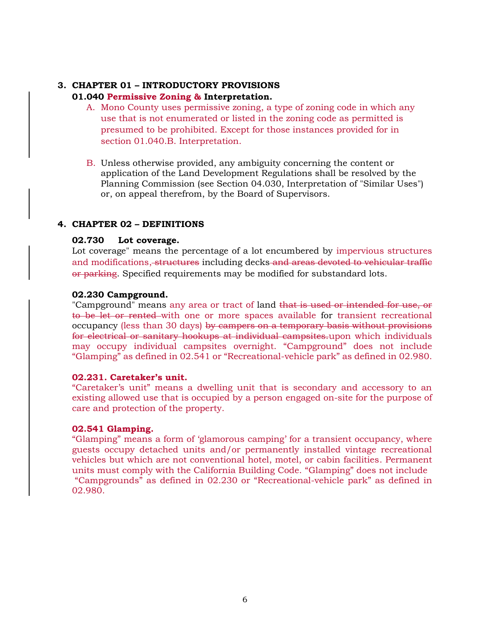# **3. CHAPTER 01 – INTRODUCTORY PROVISIONS**

## **01.040 Permissive Zoning & Interpretation.**

- A. Mono County uses permissive zoning, a type of zoning code in which any use that is not enumerated or listed in the zoning code as permitted is presumed to be prohibited. Except for those instances provided for in section 01.040.B. Interpretation.
- B. Unless otherwise provided, any ambiguity concerning the content or application of the Land Development Regulations shall be resolved by the Planning Commission (see Section 04.030, Interpretation of "Similar Uses") or, on appeal therefrom, by the Board of Supervisors.

## **4. CHAPTER 02 – DEFINITIONS**

### **02.730 Lot coverage.**

Lot coverage" means the percentage of a lot encumbered by impervious structures and modifications, structures including decks and areas devoted to vehicular traffic or parking. Specified requirements may be modified for substandard lots.

### **02.230 Campground.**

"Campground" means any area or tract of land that is used or intended for use, or to be let or rented with one or more spaces available for transient recreational occupancy (less than 30 days) by campers on a temporary basis without provisions for electrical or sanitary hookups at individual campsites.upon which individuals may occupy individual campsites overnight. "Campground" does not include "Glamping" as defined in 02.541 or "Recreational-vehicle park" as defined in 02.980.

#### **02.231. Caretaker's unit.**

"Caretaker's unit" means a dwelling unit that is secondary and accessory to an existing allowed use that is occupied by a person engaged on-site for the purpose of care and protection of the property.

## **02.541 Glamping.**

"Glamping" means a form of 'glamorous camping' for a transient occupancy, where guests occupy detached units and/or permanently installed vintage recreational vehicles but which are not conventional hotel, motel, or cabin facilities. Permanent units must comply with the California Building Code. "Glamping" does not include "Campgrounds" as defined in 02.230 or "Recreational-vehicle park" as defined in 02.980.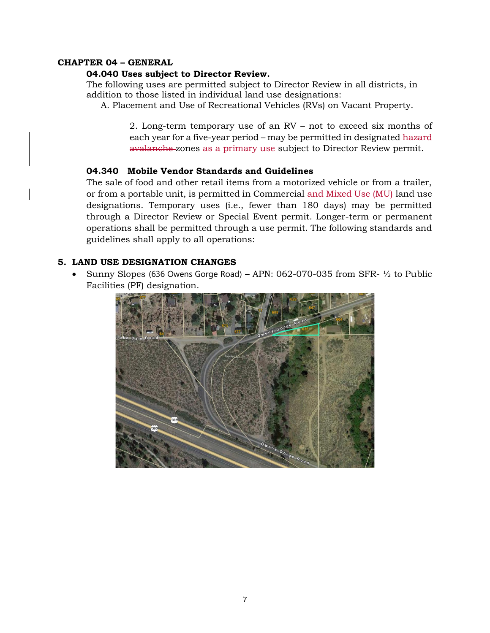### **CHAPTER 04 – GENERAL**

### **04.040 Uses subject to Director Review.**

The following uses are permitted subject to Director Review in all districts, in addition to those listed in individual land use designations:

A. Placement and Use of Recreational Vehicles (RVs) on Vacant Property.

2. Long-term temporary use of an RV – not to exceed six months of each year for a five-year period – may be permitted in designated hazard avalanche zones as a primary use subject to Director Review permit.

## **04.340 Mobile Vendor Standards and Guidelines**

The sale of food and other retail items from a motorized vehicle or from a trailer, or from a portable unit, is permitted in Commercial and Mixed Use (MU) land use designations. Temporary uses (i.e., fewer than 180 days) may be permitted through a Director Review or Special Event permit. Longer-term or permanent operations shall be permitted through a use permit. The following standards and guidelines shall apply to all operations:

### **5. LAND USE DESIGNATION CHANGES**

• Sunny Slopes (636 Owens Gorge Road) – APN:  $062-070-035$  from SFR- $\frac{1}{2}$  to Public Facilities (PF) designation.